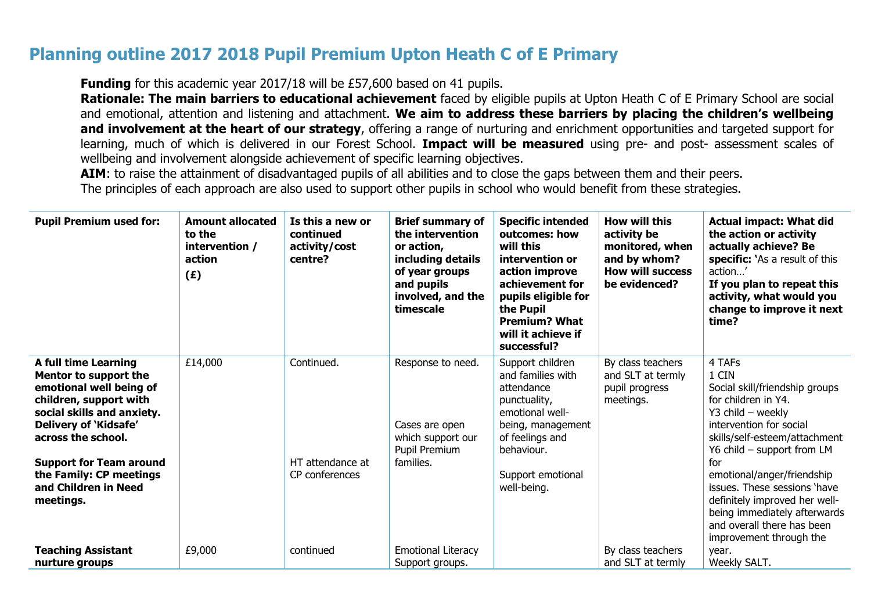## **Planning outline 2017 2018 Pupil Premium Upton Heath C of E Primary**

**Funding** for this academic year 2017/18 will be £57,600 based on 41 pupils.

 **Rationale: The main barriers to educational achievement** faced by eligible pupils at Upton Heath C of E Primary School are social and emotional, attention and listening and attachment. **We aim to address these barriers by placing the children's wellbeing and involvement at the heart of our strategy**, offering a range of nurturing and enrichment opportunities and targeted support for learning, much of which is delivered in our Forest School. **Impact will be measured** using pre- and post- assessment scales of wellbeing and involvement alongside achievement of specific learning objectives.

AIM: to raise the attainment of disadvantaged pupils of all abilities and to close the gaps between them and their peers. The principles of each approach are also used to support other pupils in school who would benefit from these strategies.

| <b>Pupil Premium used for:</b>                                                                                                                                                         | <b>Amount allocated</b><br>to the<br>intervention /<br>action<br>(E) | Is this a new or<br>continued<br>activity/cost<br>centre? | <b>Brief summary of</b><br>the intervention<br>or action,<br>including details<br>of year groups<br>and pupils<br>involved, and the<br>timescale | <b>Specific intended</b><br>outcomes: how<br>will this<br>intervention or<br>action improve<br>achievement for<br>pupils eligible for<br>the Pupil<br><b>Premium? What</b><br>will it achieve if<br>successful? | How will this<br>activity be<br>monitored, when<br>and by whom?<br><b>How will success</b><br>be evidenced? | <b>Actual impact: What did</b><br>the action or activity<br>actually achieve? Be<br>specific: `As a result of this<br>action'<br>If you plan to repeat this<br>activity, what would you<br>change to improve it next<br>time? |
|----------------------------------------------------------------------------------------------------------------------------------------------------------------------------------------|----------------------------------------------------------------------|-----------------------------------------------------------|--------------------------------------------------------------------------------------------------------------------------------------------------|-----------------------------------------------------------------------------------------------------------------------------------------------------------------------------------------------------------------|-------------------------------------------------------------------------------------------------------------|-------------------------------------------------------------------------------------------------------------------------------------------------------------------------------------------------------------------------------|
| <b>A full time Learning</b><br>Mentor to support the<br>emotional well being of<br>children, support with<br>social skills and anxiety.<br>Delivery of 'Kidsafe'<br>across the school. | £14,000                                                              | Continued.                                                | Response to need.<br>Cases are open<br>which support our<br>Pupil Premium                                                                        | Support children<br>and families with<br>attendance<br>punctuality,<br>emotional well-<br>being, management<br>of feelings and<br>behaviour.                                                                    | By class teachers<br>and SLT at termly<br>pupil progress<br>meetings.                                       | 4 TAFs<br>1 CIN<br>Social skill/friendship groups<br>for children in Y4.<br>$Y3$ child – weekly<br>intervention for social<br>skills/self-esteem/attachment<br>Y6 child - support from LM                                     |
| <b>Support for Team around</b><br>the Family: CP meetings<br>and Children in Need<br>meetings.                                                                                         |                                                                      | HT attendance at<br>CP conferences                        | families.                                                                                                                                        | Support emotional<br>well-being.                                                                                                                                                                                |                                                                                                             | for<br>emotional/anger/friendship<br>issues. These sessions 'have<br>definitely improved her well-<br>being immediately afterwards<br>and overall there has been<br>improvement through the                                   |
| <b>Teaching Assistant</b><br>nurture groups                                                                                                                                            | £9,000                                                               | continued                                                 | Emotional Literacy<br>Support groups.                                                                                                            |                                                                                                                                                                                                                 | By class teachers<br>and SLT at termly                                                                      | year.<br>Weekly SALT.                                                                                                                                                                                                         |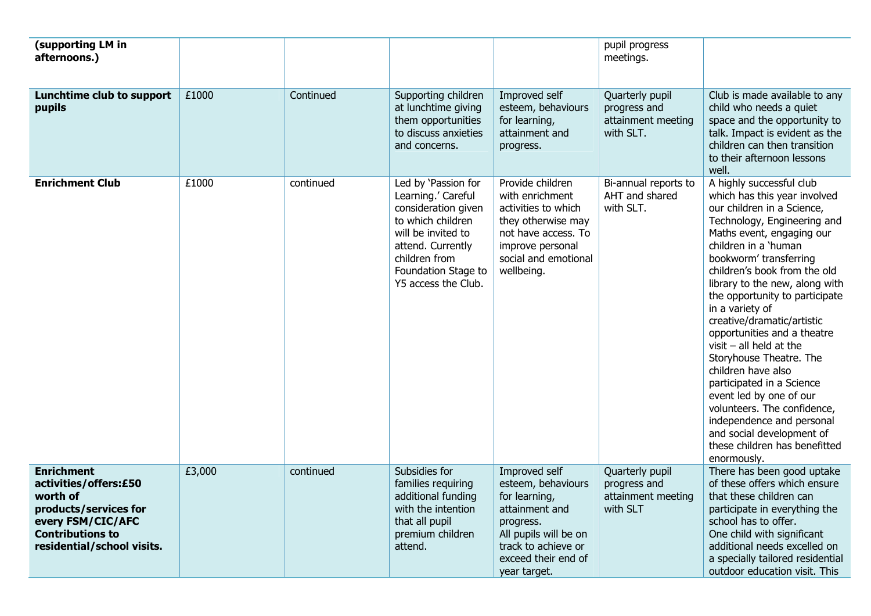| (supporting LM in<br>afternoons.)                                                                                                                             |        |           |                                                                                                                                                                                                 |                                                                                                                                                                            | pupil progress<br>meetings.                                        |                                                                                                                                                                                                                                                                                                                                                                                                                                                                                                                                                                                                                                                                         |
|---------------------------------------------------------------------------------------------------------------------------------------------------------------|--------|-----------|-------------------------------------------------------------------------------------------------------------------------------------------------------------------------------------------------|----------------------------------------------------------------------------------------------------------------------------------------------------------------------------|--------------------------------------------------------------------|-------------------------------------------------------------------------------------------------------------------------------------------------------------------------------------------------------------------------------------------------------------------------------------------------------------------------------------------------------------------------------------------------------------------------------------------------------------------------------------------------------------------------------------------------------------------------------------------------------------------------------------------------------------------------|
| Lunchtime club to support<br>pupils                                                                                                                           | £1000  | Continued | Supporting children<br>at lunchtime giving<br>them opportunities<br>to discuss anxieties<br>and concerns.                                                                                       | Improved self<br>esteem, behaviours<br>for learning,<br>attainment and<br>progress.                                                                                        | Quarterly pupil<br>progress and<br>attainment meeting<br>with SLT. | Club is made available to any<br>child who needs a quiet<br>space and the opportunity to<br>talk. Impact is evident as the<br>children can then transition<br>to their afternoon lessons<br>well.                                                                                                                                                                                                                                                                                                                                                                                                                                                                       |
| <b>Enrichment Club</b>                                                                                                                                        | £1000  | continued | Led by 'Passion for<br>Learning.' Careful<br>consideration given<br>to which children<br>will be invited to<br>attend. Currently<br>children from<br>Foundation Stage to<br>Y5 access the Club. | Provide children<br>with enrichment<br>activities to which<br>they otherwise may<br>not have access. To<br>improve personal<br>social and emotional<br>wellbeing.          | Bi-annual reports to<br>AHT and shared<br>with SLT.                | A highly successful club<br>which has this year involved<br>our children in a Science,<br>Technology, Engineering and<br>Maths event, engaging our<br>children in a 'human<br>bookworm' transferring<br>children's book from the old<br>library to the new, along with<br>the opportunity to participate<br>in a variety of<br>creative/dramatic/artistic<br>opportunities and a theatre<br>$visit$ – all held at the<br>Storyhouse Theatre. The<br>children have also<br>participated in a Science<br>event led by one of our<br>volunteers. The confidence,<br>independence and personal<br>and social development of<br>these children has benefitted<br>enormously. |
| <b>Enrichment</b><br>activities/offers:£50<br>worth of<br>products/services for<br>every FSM/CIC/AFC<br><b>Contributions to</b><br>residential/school visits. | £3,000 | continued | Subsidies for<br>families requiring<br>additional funding<br>with the intention<br>that all pupil<br>premium children<br>attend.                                                                | Improved self<br>esteem, behaviours<br>for learning,<br>attainment and<br>progress.<br>All pupils will be on<br>track to achieve or<br>exceed their end of<br>year target. | Quarterly pupil<br>progress and<br>attainment meeting<br>with SLT  | There has been good uptake<br>of these offers which ensure<br>that these children can<br>participate in everything the<br>school has to offer.<br>One child with significant<br>additional needs excelled on<br>a specially tailored residential<br>outdoor education visit. This                                                                                                                                                                                                                                                                                                                                                                                       |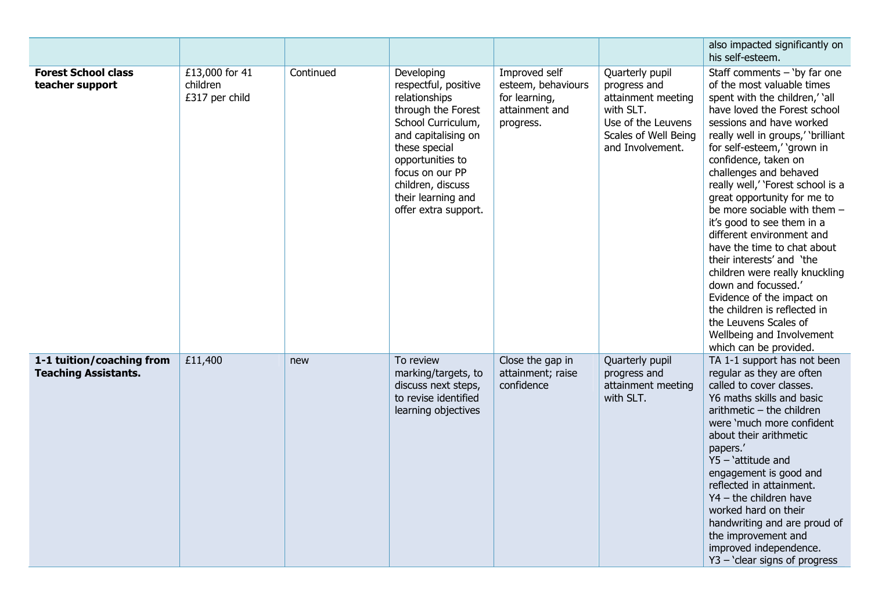|                                                          |                                              |           |                                                                                                                                                                                                                                                   |                                                                                     |                                                                                                                                      | also impacted significantly on<br>his self-esteem.                                                                                                                                                                                                                                                                                                                                                                                                                                                                                                                                                                                                                                                                 |
|----------------------------------------------------------|----------------------------------------------|-----------|---------------------------------------------------------------------------------------------------------------------------------------------------------------------------------------------------------------------------------------------------|-------------------------------------------------------------------------------------|--------------------------------------------------------------------------------------------------------------------------------------|--------------------------------------------------------------------------------------------------------------------------------------------------------------------------------------------------------------------------------------------------------------------------------------------------------------------------------------------------------------------------------------------------------------------------------------------------------------------------------------------------------------------------------------------------------------------------------------------------------------------------------------------------------------------------------------------------------------------|
| <b>Forest School class</b><br>teacher support            | £13,000 for 41<br>children<br>£317 per child | Continued | Developing<br>respectful, positive<br>relationships<br>through the Forest<br>School Curriculum,<br>and capitalising on<br>these special<br>opportunities to<br>focus on our PP<br>children, discuss<br>their learning and<br>offer extra support. | Improved self<br>esteem, behaviours<br>for learning,<br>attainment and<br>progress. | Quarterly pupil<br>progress and<br>attainment meeting<br>with SLT.<br>Use of the Leuvens<br>Scales of Well Being<br>and Involvement. | Staff comments $-$ 'by far one<br>of the most valuable times<br>spent with the children,' 'all<br>have loved the Forest school<br>sessions and have worked<br>really well in groups,' 'brilliant<br>for self-esteem,' 'grown in<br>confidence, taken on<br>challenges and behaved<br>really well,' 'Forest school is a<br>great opportunity for me to<br>be more sociable with them -<br>it's good to see them in a<br>different environment and<br>have the time to chat about<br>their interests' and 'the<br>children were really knuckling<br>down and focussed.'<br>Evidence of the impact on<br>the children is reflected in<br>the Leuvens Scales of<br>Wellbeing and Involvement<br>which can be provided. |
| 1-1 tuition/coaching from<br><b>Teaching Assistants.</b> | £11,400                                      | new       | To review<br>marking/targets, to<br>discuss next steps,<br>to revise identified<br>learning objectives                                                                                                                                            | Close the gap in<br>attainment; raise<br>confidence                                 | Quarterly pupil<br>progress and<br>attainment meeting<br>with SLT.                                                                   | TA 1-1 support has not been<br>regular as they are often<br>called to cover classes.<br>Y6 maths skills and basic<br>$arithmetic - the children$<br>were 'much more confident<br>about their arithmetic<br>papers.'<br>$Y5 - 'attitude and$<br>engagement is good and<br>reflected in attainment.<br>$YA$ – the children have<br>worked hard on their<br>handwriting and are proud of<br>the improvement and<br>improved independence.<br>Y3 - 'clear signs of progress                                                                                                                                                                                                                                            |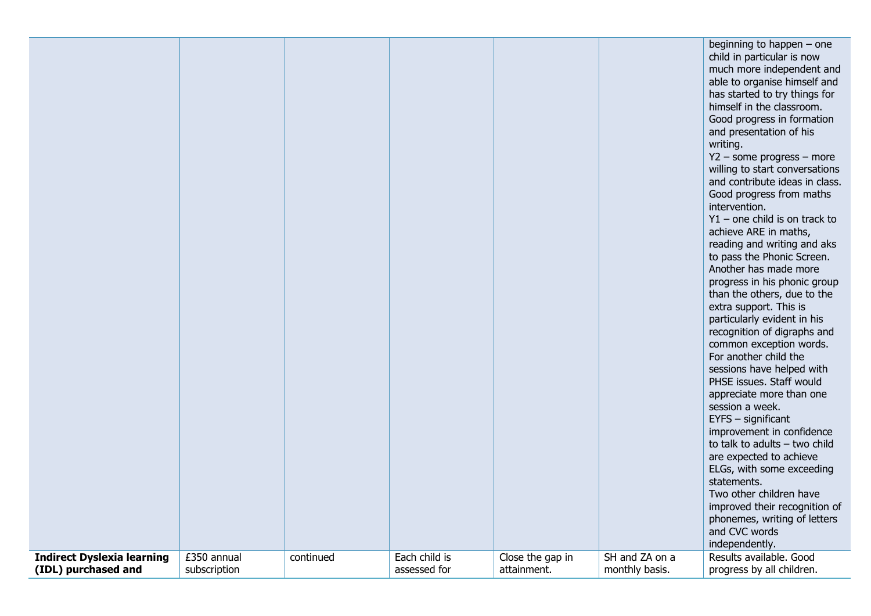|                                   |              |           |               |                  |                | beginning to happen - one<br>child in particular is now<br>much more independent and<br>able to organise himself and<br>has started to try things for<br>himself in the classroom.<br>Good progress in formation<br>and presentation of his<br>writing.<br>$Y2$ – some progress – more<br>willing to start conversations<br>and contribute ideas in class.<br>Good progress from maths<br>intervention.<br>$Y1$ – one child is on track to<br>achieve ARE in maths,<br>reading and writing and aks<br>to pass the Phonic Screen.<br>Another has made more<br>progress in his phonic group<br>than the others, due to the<br>extra support. This is<br>particularly evident in his<br>recognition of digraphs and<br>common exception words.<br>For another child the<br>sessions have helped with<br>PHSE issues. Staff would<br>appreciate more than one<br>session a week.<br>$EYFS - significant$<br>improvement in confidence<br>to talk to adults $-$ two child<br>are expected to achieve<br>ELGs, with some exceeding<br>statements.<br>Two other children have<br>improved their recognition of<br>phonemes, writing of letters |
|-----------------------------------|--------------|-----------|---------------|------------------|----------------|-----------------------------------------------------------------------------------------------------------------------------------------------------------------------------------------------------------------------------------------------------------------------------------------------------------------------------------------------------------------------------------------------------------------------------------------------------------------------------------------------------------------------------------------------------------------------------------------------------------------------------------------------------------------------------------------------------------------------------------------------------------------------------------------------------------------------------------------------------------------------------------------------------------------------------------------------------------------------------------------------------------------------------------------------------------------------------------------------------------------------------------------|
| <b>Indirect Dyslexia learning</b> | £350 annual  | continued | Each child is | Close the gap in | SH and ZA on a | and CVC words<br>independently.<br>Results available. Good                                                                                                                                                                                                                                                                                                                                                                                                                                                                                                                                                                                                                                                                                                                                                                                                                                                                                                                                                                                                                                                                              |
| (IDL) purchased and               | subscription |           | assessed for  | attainment.      | monthly basis. | progress by all children.                                                                                                                                                                                                                                                                                                                                                                                                                                                                                                                                                                                                                                                                                                                                                                                                                                                                                                                                                                                                                                                                                                               |